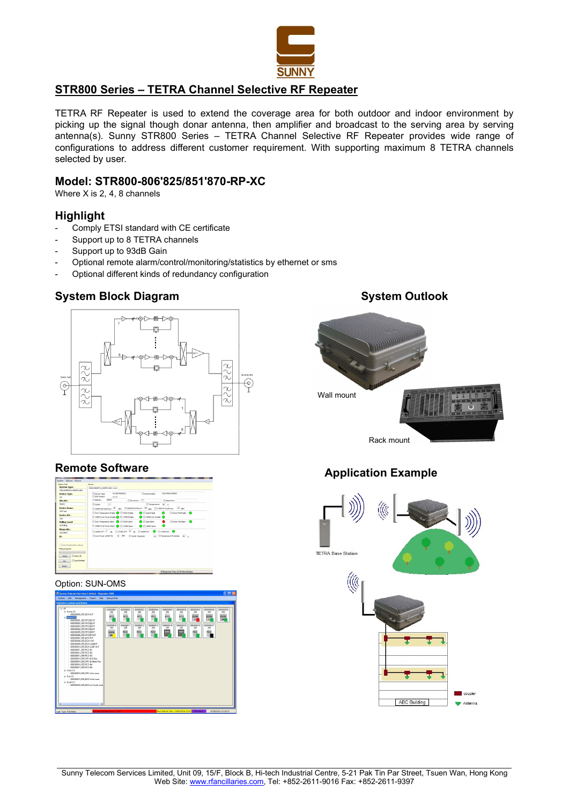

# STR800 Series – TETRA Channel Selective RF Repeater

TETRA RF Repeater is used to extend the coverage area for both outdoor and indoor environment by picking up the signal though donar antenna, then amplifier and broadcast to the serving area by serving antenna(s). Sunny STR800 Series – TETRA Channel Selective RF Repeater provides wide range of configurations to address different customer requirement. With supporting maximum 8 TETRA channels selected by user.

### Model: STR800-806'825/851'870-RP-XC

Where X is 2, 4, 8 channels

### Highlight

- Comply ETSI standard with CE certificate
- Support up to 8 TETRA channels
- Support up to 93dB Gain
- Optional remote alarm/control/monitoring/statistics by ethernet or sms
- Optional different kinds of redundancy configuration

# System Block Diagram System Outlook



### Remote Software

| M.R. 10000001-NORD 1981<br>M-668400601<br>ML0340201304005<br><b>Convice Type:</b><br><b>El Serial Numbers</b><br><b>Device Type:</b><br>Soft Version:<br>V1.17<br>MI<br>96542<br>El Sterling<br>Devoetia. 255<br>Report No. 1<br>Site 80.1<br>95542<br>El Temperature: 38 yr.<br><b>ITT VSING</b><br>$3.3^{\circ}$<br><b>Device Name:</b><br>Шаномоходбрукс 28 др. Шахомохоббрукс: 40 др. Шайман субрукс: -35 др.<br><b>SMT</b> test<br>Cover Temperature Drable @ ET10WR Drable<br><b>C</b> Figure truck<br>El Pover Fall Drable (C)<br>Device NO.:<br>1340M Over Power Enable ( E 1749M Enable<br><b>C</b> El sinoritato Frante Co<br>255<br><b>C</b> El Gate Alam<br>Cor Tenperature Alam C IT VSI/R Alam<br><b>El Pover Fall Alarm</b><br>Polling Level:<br>No Polino<br>1340K Over Power Alam @ IT 1745K Alam<br><b>O</b> Bott Airp<br>Phone 80.1<br>$\Box$ SHANATI <sup>8</sup> @ $\Box$ L'HEHATI <sup>30</sup> @ $\Box$ SHANAHI <sup>●</sup> $\Box$ L'HENAHI ●<br>92224627<br>Cover Fourer 19434 Tht 45 ART To USA Revealed 4.5 The person Threshold: 80 y<br>$B$ .<br>Reset Modernfafter poling)<br><b>ITT</b> Select All<br><b>Read</b><br>Auto Refresh<br>Set. | Quiton Info:<br><b>System Type:</b> | Device<br>MAILHODED1 HOPDI 1901 Info |  |  |
|--------------------------------------------------------------------------------------------------------------------------------------------------------------------------------------------------------------------------------------------------------------------------------------------------------------------------------------------------------------------------------------------------------------------------------------------------------------------------------------------------------------------------------------------------------------------------------------------------------------------------------------------------------------------------------------------------------------------------------------------------------------------------------------------------------------------------------------------------------------------------------------------------------------------------------------------------------------------------------------------------------------------------------------------------------------------------------------------------------------------------------------------------------------------------|-------------------------------------|--------------------------------------|--|--|
|                                                                                                                                                                                                                                                                                                                                                                                                                                                                                                                                                                                                                                                                                                                                                                                                                                                                                                                                                                                                                                                                                                                                                                          |                                     |                                      |  |  |
|                                                                                                                                                                                                                                                                                                                                                                                                                                                                                                                                                                                                                                                                                                                                                                                                                                                                                                                                                                                                                                                                                                                                                                          |                                     |                                      |  |  |
|                                                                                                                                                                                                                                                                                                                                                                                                                                                                                                                                                                                                                                                                                                                                                                                                                                                                                                                                                                                                                                                                                                                                                                          |                                     |                                      |  |  |
| Poling progress                                                                                                                                                                                                                                                                                                                                                                                                                                                                                                                                                                                                                                                                                                                                                                                                                                                                                                                                                                                                                                                                                                                                                          |                                     |                                      |  |  |
|                                                                                                                                                                                                                                                                                                                                                                                                                                                                                                                                                                                                                                                                                                                                                                                                                                                                                                                                                                                                                                                                                                                                                                          |                                     |                                      |  |  |
|                                                                                                                                                                                                                                                                                                                                                                                                                                                                                                                                                                                                                                                                                                                                                                                                                                                                                                                                                                                                                                                                                                                                                                          |                                     |                                      |  |  |
|                                                                                                                                                                                                                                                                                                                                                                                                                                                                                                                                                                                                                                                                                                                                                                                                                                                                                                                                                                                                                                                                                                                                                                          |                                     |                                      |  |  |
|                                                                                                                                                                                                                                                                                                                                                                                                                                                                                                                                                                                                                                                                                                                                                                                                                                                                                                                                                                                                                                                                                                                                                                          |                                     |                                      |  |  |
|                                                                                                                                                                                                                                                                                                                                                                                                                                                                                                                                                                                                                                                                                                                                                                                                                                                                                                                                                                                                                                                                                                                                                                          |                                     |                                      |  |  |
|                                                                                                                                                                                                                                                                                                                                                                                                                                                                                                                                                                                                                                                                                                                                                                                                                                                                                                                                                                                                                                                                                                                                                                          |                                     |                                      |  |  |
|                                                                                                                                                                                                                                                                                                                                                                                                                                                                                                                                                                                                                                                                                                                                                                                                                                                                                                                                                                                                                                                                                                                                                                          |                                     |                                      |  |  |
|                                                                                                                                                                                                                                                                                                                                                                                                                                                                                                                                                                                                                                                                                                                                                                                                                                                                                                                                                                                                                                                                                                                                                                          |                                     |                                      |  |  |
|                                                                                                                                                                                                                                                                                                                                                                                                                                                                                                                                                                                                                                                                                                                                                                                                                                                                                                                                                                                                                                                                                                                                                                          |                                     |                                      |  |  |
|                                                                                                                                                                                                                                                                                                                                                                                                                                                                                                                                                                                                                                                                                                                                                                                                                                                                                                                                                                                                                                                                                                                                                                          |                                     |                                      |  |  |
|                                                                                                                                                                                                                                                                                                                                                                                                                                                                                                                                                                                                                                                                                                                                                                                                                                                                                                                                                                                                                                                                                                                                                                          |                                     |                                      |  |  |
|                                                                                                                                                                                                                                                                                                                                                                                                                                                                                                                                                                                                                                                                                                                                                                                                                                                                                                                                                                                                                                                                                                                                                                          |                                     |                                      |  |  |
|                                                                                                                                                                                                                                                                                                                                                                                                                                                                                                                                                                                                                                                                                                                                                                                                                                                                                                                                                                                                                                                                                                                                                                          |                                     |                                      |  |  |
|                                                                                                                                                                                                                                                                                                                                                                                                                                                                                                                                                                                                                                                                                                                                                                                                                                                                                                                                                                                                                                                                                                                                                                          |                                     |                                      |  |  |
|                                                                                                                                                                                                                                                                                                                                                                                                                                                                                                                                                                                                                                                                                                                                                                                                                                                                                                                                                                                                                                                                                                                                                                          |                                     |                                      |  |  |
|                                                                                                                                                                                                                                                                                                                                                                                                                                                                                                                                                                                                                                                                                                                                                                                                                                                                                                                                                                                                                                                                                                                                                                          |                                     |                                      |  |  |

#### Option: SUN-OMS





# Application Example